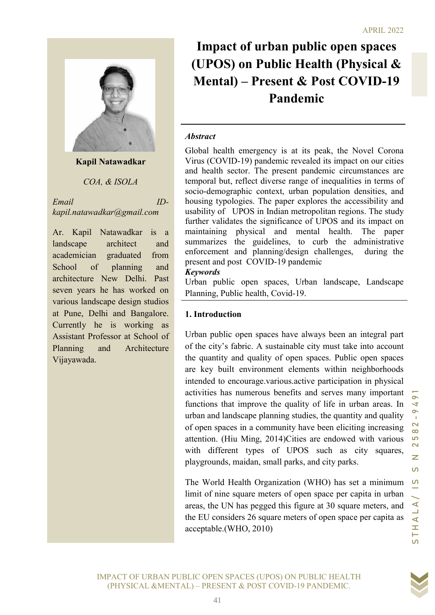

Kapil Natawadkar

COA, & ISOLA

Email IDkapil.natawadkar@gmail.com

Ar. Kapil Natawadkar is a landscape architect and academician graduated from School of planning and architecture New Delhi. Past seven years he has worked on various landscape design studios at Pune, Delhi and Bangalore. Currently he is working as Assistant Professor at School of Planning and Architecture Vijayawada.

# Impact of urban public open spaces (UPOS) on Public Health (Physical & Mental) – Present & Post COVID-19 Pandemic

#### **Abstract**

Global health emergency is at its peak, the Novel Corona Virus (COVID-19) pandemic revealed its impact on our cities and health sector. The present pandemic circumstances are temporal but, reflect diverse range of inequalities in terms of socio-demographic context, urban population densities, and housing typologies. The paper explores the accessibility and usability of UPOS in Indian metropolitan regions. The study further validates the significance of UPOS and its impact on maintaining physical and mental health. The paper summarizes the guidelines, to curb the administrative enforcement and planning/design challenges, during the present and post COVID-19 pandemic

#### Keywords

Urban public open spaces, Urban landscape, Landscape Planning, Public health, Covid-19.

#### 1. Introduction

 $\pi r \frac{m}{R}gpmil.com$ <br>
stability of UPOS in Indina metropolitan regions. The study<br>
tatwadkar is a funditalizing physical and arend the Mathi in First on<br>
tariation and summarizes the gainlelines, to curb the altimistantive<br>
r Urban public open spaces have always been an integral part of the city's fabric. A sustainable city must take into account the quantity and quality of open spaces. Public open spaces are key built environment elements within neighborhoods intended to encourage.various.active participation in physical activities has numerous benefits and serves many important functions that improve the quality of life in urban areas. In urban and landscape planning studies, the quantity and quality of open spaces in a community have been eliciting increasing attention. (Hiu Ming, 2014)Cities are endowed with various with different types of UPOS such as city squares, playgrounds, maidan, small parks, and city parks.

The World Health Organization (WHO) has set a minimum limit of nine square meters of open space per capita in urban areas, the UN has pegged this figure at 30 square meters, and the EU considers 26 square meters of open space per capita as acceptable.(WHO, 2010)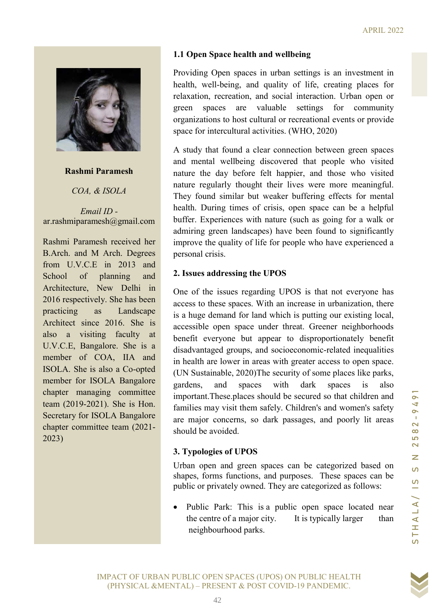

#### Rashmi Paramesh

COA, & ISOLA

Email ID ar.rashmiparamesh@gmail.com

Rashmi Paramesh received her B.Arch. and M Arch. Degrees from U.V.C.E in 2013 and School of planning and Architecture, New Delhi in 2016 respectively. She has been practicing as Landscape Architect since 2016. She is also a visiting faculty at U.V.C.E, Bangalore. She is a member of COA, IIA and ISOLA. She is also a Co-opted member for ISOLA Bangalore chapter managing committee team (2019-2021). She is Hon. Secretary for ISOLA Bangalore chapter committee team (2021- 2023)

# 1.1 Open Space health and wellbeing

Providing Open spaces in urban settings is an investment in health, well-being, and quality of life, creating places for relaxation, recreation, and social interaction. Urban open or green spaces are valuable settings for community organizations to host cultural or recreational events or provide space for intercultural activities. (WHO, 2020)

A study that found a clear connection between green spaces and mental wellbeing discovered that people who visited nature the day before felt happier, and those who visited nature regularly thought their lives were more meaningful. They found similar but weaker buffering effects for mental health. During times of crisis, open space can be a helpful buffer. Experiences with nature (such as going for a walk or admiring green landscapes) have been found to significantly improve the quality of life for people who have experienced a personal crisis.

# 2. Issues addressing the UPOS

(P)<br>
(agmail.com louffer. Experiences with nature (such as going for a walk or<br>
received her improve the quality of life for people who have experienced a<br>
received her improve the quality of life for people who have expe One of the issues regarding UPOS is that not everyone has access to these spaces. With an increase in urbanization, there is a huge demand for land which is putting our existing local, accessible open space under threat. Greener neighborhoods benefit everyone but appear to disproportionately benefit disadvantaged groups, and socioeconomic-related inequalities in health are lower in areas with greater access to open space. (UN Sustainable, 2020)The security of some places like parks, gardens, and spaces with dark spaces is also important.These.places should be secured so that children and families may visit them safely. Children's and women's safety are major concerns, so dark passages, and poorly lit areas should be avoided.

# 3. Typologies of UPOS

Urban open and green spaces can be categorized based on shapes, forms functions, and purposes. These spaces can be public or privately owned. They are categorized as follows:

 Public Park: This is a public open space located near the centre of a major city. It is typically larger than neighbourhood parks.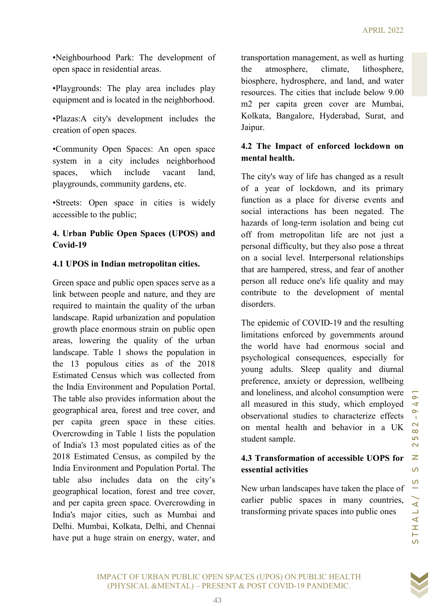•Neighbourhood Park: The development of open space in residential areas.

•Playgrounds: The play area includes play equipment and is located in the neighborhood.

•Plazas:A city's development includes the creation of open spaces.

•Community Open Spaces: An open space system in a city includes neighborhood spaces, which include vacant land, playgrounds, community gardens, etc.

•Streets: Open space in cities is widely accessible to the public;

# 4. Urban Public Open Spaces (UPOS) and Covid-19

#### 4.1 UPOS in Indian metropolitan cities.

special interactions has been negated. The<br>
public;<br>
is Open Spaces (UPOS) and and Simple contains of long-term isolation and being cut<br>
it is presentable that are hampered, stress, and fear of another<br>
or a social level, Green space and public open spaces serve as a link between people and nature, and they are required to maintain the quality of the urban landscape. Rapid urbanization and population growth place enormous strain on public open areas, lowering the quality of the urban landscape. Table 1 shows the population in the 13 populous cities as of the 2018 Estimated Census which was collected from the India Environment and Population Portal. The table also provides information about the geographical area, forest and tree cover, and per capita green space in these cities. Overcrowding in Table 1 lists the population of India's 13 most populated cities as of the 2018 Estimated Census, as compiled by the India Environment and Population Portal. The table also includes data on the city's geographical location, forest and tree cover, and per capita green space. Overcrowding in India's major cities, such as Mumbai and Delhi. Mumbai, Kolkata, Delhi, and Chennai have put a huge strain on energy, water, and

transportation management, as well as hurting the atmosphere, climate, lithosphere, biosphere, hydrosphere, and land, and water resources. The cities that include below 9.00 m2 per capita green cover are Mumbai, Kolkata, Bangalore, Hyderabad, Surat, and Jaipur.

# 4.2 The Impact of enforced lockdown on mental health.

The city's way of life has changed as a result of a year of lockdown, and its primary function as a place for diverse events and social interactions has been negated. The hazards of long-term isolation and being cut off from metropolitan life are not just a personal difficulty, but they also pose a threat on a social level. Interpersonal relationships that are hampered, stress, and fear of another person all reduce one's life quality and may contribute to the development of mental disorders.

The epidemic of COVID-19 and the resulting limitations enforced by governments around the world have had enormous social and psychological consequences, especially for young adults. Sleep quality and diurnal preference, anxiety or depression, wellbeing and loneliness, and alcohol consumption were all measured in this study, which employed observational studies to characterize effects on mental health and behavior in a UK student sample.

# 4.3 Transformation of accessible UOPS for essential activities

New urban landscapes have taken the place of earlier public spaces in many countries, transforming private spaces into public ones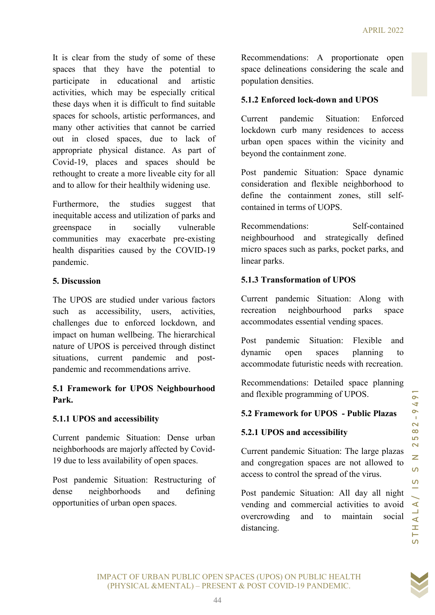It is clear from the study of some of these spaces that they have the potential to participate in educational and artistic activities, which may be especially critical these days when it is difficult to find suitable spaces for schools, artistic performances, and many other activities that cannot be carried out in closed spaces, due to lack of appropriate physical distance. As part of Covid-19, places and spaces should be rethought to create a more liveable city for all and to allow for their healthily widening use.

Furthermore, the studies suggest that inequitable access and utilization of parks and greenspace in socially vulnerable communities may exacerbate pre-existing health disparities caused by the COVID-19 pandemic.

#### 5. Discussion

the southern three simplests of the state of the state of the state of the state of the scaling value of the COVID-19 Paymentations: Self-contained and strategies and this contained the commendations of the COVID-19 payme The UPOS are studied under various factors such as accessibility, users, activities, challenges due to enforced lockdown, and impact on human wellbeing. The hierarchical nature of UPOS is perceived through distinct situations, current pandemic and postpandemic and recommendations arrive.

# 5.1 Framework for UPOS Neighbourhood Park.

# 5.1.1 UPOS and accessibility

Current pandemic Situation: Dense urban neighborhoods are majorly affected by Covid-19 due to less availability of open spaces.

Post pandemic Situation: Restructuring of dense neighborhoods and defining opportunities of urban open spaces.

Recommendations: A proportionate open space delineations considering the scale and population densities.

#### 5.1.2 Enforced lock-down and UPOS

Current pandemic Situation: Enforced lockdown curb many residences to access urban open spaces within the vicinity and beyond the containment zone.

Post pandemic Situation: Space dynamic consideration and flexible neighborhood to define the containment zones, still selfcontained in terms of UOPS.

Recommendations: Self-contained neighbourhood and strategically defined micro spaces such as parks, pocket parks, and linear parks.

# 5.1.3 Transformation of UPOS

Current pandemic Situation: Along with recreation neighbourhood parks space accommodates essential vending spaces.

Post pandemic Situation: Flexible and dynamic open spaces planning to accommodate futuristic needs with recreation.

Recommendations: Detailed space planning and flexible programming of UPOS.

# 5.2 Framework for UPOS - Public Plazas

# 5.2.1 UPOS and accessibility

Current pandemic Situation: The large plazas and congregation spaces are not allowed to access to control the spread of the virus.

Post pandemic Situation: All day all night vending and commercial activities to avoid overcrowding and to maintain social distancing.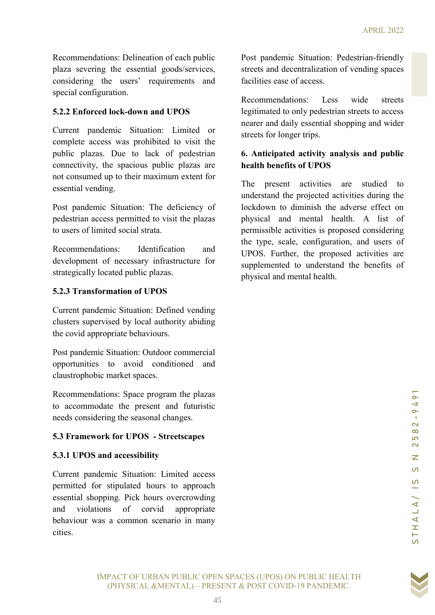Recommendations: Delineation of each public plaza severing the essential goods/services, considering the users' requirements and special configuration.

#### 5.2.2 Enforced lock-down and UPOS

Current pandemic Situation: Limited or complete access was prohibited to visit the public plazas. Due to lack of pedestrian connectivity, the spacious public plazas are not consumed up to their maximum extent for essential vending.

Post pandemic Situation: The deficiency of pedestrian access permitted to visit the plazas to users of limited social strata.

Recommendations: Identification and development of necessary infrastructure for strategically located public plazas.

#### 5.2.3 Transformation of UPOS

Current pandemic Situation: Defined vending clusters supervised by local authority abiding the covid appropriate behaviours.

Post pandemic Situation: Outdoor commercial opportunities to avoid conditioned and claustrophobic market spaces.

Recommendations: Space program the plazas to accommodate the present and futuristic needs considering the seasonal changes.

# 5.3 Framework for UPOS - Streetscapes

# 5.3.1 UPOS and accessibility

Current pandemic Situation: Limited access permitted for stipulated hours to approach essential shopping. Pick hours overcrowding and violations of corvid appropriate behaviour was a common scenario in many cities.

Post pandemic Situation: Pedestrian-friendly streets and decentralization of vending spaces facilities ease of access.

Recommendations: Less wide streets legitimated to only pedestrian streets to access nearer and daily essential shopping and wider streets for longer trips.

# 6. Anticipated activity analysis and public health benefits of UPOS

Situation: The deficitory of lookdown to diminish the adverse effect on<br>sygemitted to visit the phazas physical and mental health. A list of<br>deciral area.<br>ms: ldentification and the type, seate, configuration, and sues of The present activities are studied to understand the projected activities during the lockdown to diminish the adverse effect on physical and mental health. A list of permissible activities is proposed considering the type, scale, configuration, and users of UPOS. Further, the proposed activities are supplemented to understand the benefits of physical and mental health.

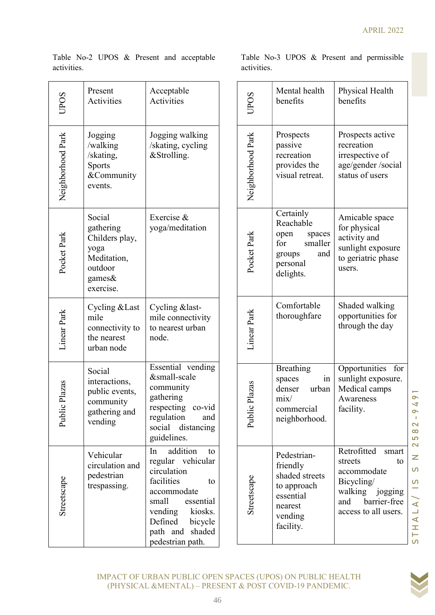| <b>CPOS</b>       | Present<br>Activities                                                                          | Acceptable<br>Activities                                                                                                                                                                          |  |
|-------------------|------------------------------------------------------------------------------------------------|---------------------------------------------------------------------------------------------------------------------------------------------------------------------------------------------------|--|
| Neighborhood Park | Jogging<br>/walking<br>/skating,<br><b>Sports</b><br>&Community<br>events.                     | Jogging walking<br>/skating, cycling<br>&Strolling.                                                                                                                                               |  |
| Pocket Park       | Social<br>gathering<br>Childers play,<br>yoga<br>Meditation,<br>outdoor<br>games&<br>exercise. | Exercise &<br>yoga/meditation                                                                                                                                                                     |  |
| inear Park        | Cycling & Last<br>mile<br>connectivity to<br>the nearest<br>urban node                         | Cycling &last-<br>mile connectivity<br>to nearest urban<br>node.                                                                                                                                  |  |
|                   | Social<br>interactions,<br>public events,<br>community<br>gathering and<br>vending             | Essential vending<br>&small-scale<br>community<br>gathering<br>respecting co-vid<br>regulation<br>and<br>social<br>distancing<br>guidelines.                                                      |  |
| Streetscape       | Vehicular<br>circulation and<br>pedestrian<br>trespassing.                                     | addition<br>In<br>to<br>regular vehicular<br>circulation<br>facilities<br>to<br>accommodate<br>small<br>essential<br>kiosks.<br>vending<br>Defined bicycle<br>path and shaded<br>pedestrian path. |  |

Table No-2 UPOS & Present and acceptable activities.

Table No-3 UPOS & Present and permissible activities.

| nt<br>ities                                      | Acceptable<br>Activities                                                                                                                                                                             |  | UPOS              | Mental health<br>benefits                                                                                | Physical Health<br>benefits                                                                                                          |
|--------------------------------------------------|------------------------------------------------------------------------------------------------------------------------------------------------------------------------------------------------------|--|-------------------|----------------------------------------------------------------------------------------------------------|--------------------------------------------------------------------------------------------------------------------------------------|
| ng<br>ing<br>ng,<br>nmunity<br>S.                | Jogging walking<br>/skating, cycling<br>&Strolling.                                                                                                                                                  |  | Neighborhood Park | Prospects<br>passive<br>recreation<br>provides the<br>visual retreat.                                    | Prospects active<br>recreation<br>irrespective of<br>age/gender/social<br>status of users                                            |
| ring<br>ers play,<br>tation,<br>or<br>s&<br>ise. | Exercise &<br>yoga/meditation                                                                                                                                                                        |  | Pocket Park       | Certainly<br>Reachable<br>open<br>spaces<br>smaller<br>for<br>and<br>groups<br>personal<br>delights.     | Amicable space<br>for physical<br>activity and<br>sunlight exposure<br>to geriatric phase<br>users.                                  |
| ng &Last<br>ctivity to:<br>earest<br>node        | Cycling &last-<br>mile connectivity<br>to nearest urban<br>node.                                                                                                                                     |  | Linear Park       | Comfortable<br>thoroughfare                                                                              | Shaded walking<br>opportunities for<br>through the day                                                                               |
| ctions,<br>events,<br>unity<br>ring and<br>ng    | Essential vending<br>&small-scale<br>community<br>gathering<br>respecting co-vid<br>regulation<br>and<br>social distancing<br>guidelines.                                                            |  | Plazas<br>Public  | <b>Breathing</b><br>in<br>spaces<br>urban<br>denser<br>mix/<br>commercial<br>neighborhood.               | Opportunities for<br>sunlight exposure.<br>Medical camps<br>Awareness<br>facility.                                                   |
| ular<br>ation and<br>trian<br>issing.            | addition<br>to<br>In<br>regular vehicular<br>circulation<br>facilities<br>to<br>accommodate<br>small<br>essential<br>vending<br>kiosks.<br>Defined<br>bicycle<br>path and shaded<br>pedestrian path. |  | Streetscape       | Pedestrian-<br>friendly<br>shaded streets<br>to approach<br>essential<br>nearest<br>vending<br>facility. | Retrofitted<br>smart<br>streets<br>to<br>accommodate<br>Bicycling/<br>walking jogging<br>barrier-free<br>and<br>access to all users. |

IMPACT OF URBAN PUBLIC OPEN SPACES (UPOS) ON PUBLIC HEALTH